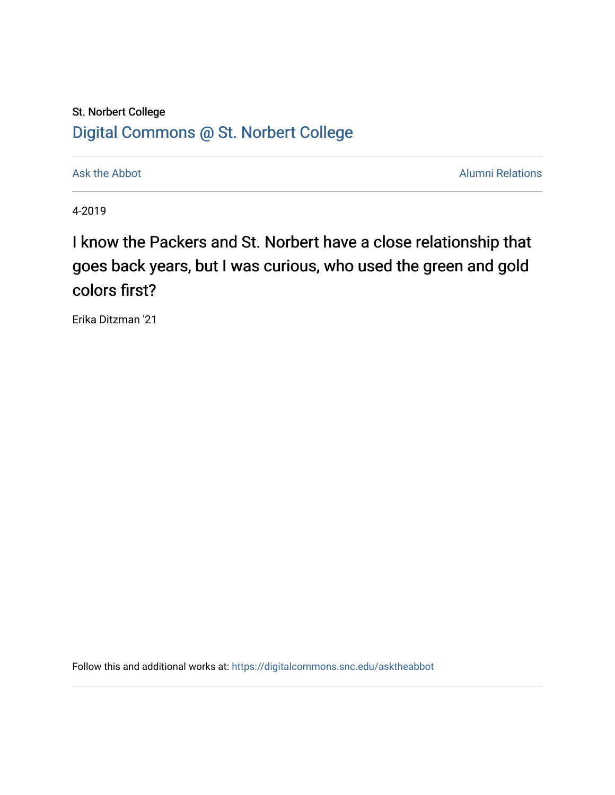## St. Norbert College [Digital Commons @ St. Norbert College](https://digitalcommons.snc.edu/)

[Ask the Abbot](https://digitalcommons.snc.edu/asktheabbot) **Alumni Relations** Ask the Abbot **Alumni Relations** 

4-2019

## I know the Packers and St. Norbert have a close relationship that goes back years, but I was curious, who used the green and gold colors first?

Erika Ditzman '21

Follow this and additional works at: [https://digitalcommons.snc.edu/asktheabbot](https://digitalcommons.snc.edu/asktheabbot?utm_source=digitalcommons.snc.edu%2Fasktheabbot%2F165&utm_medium=PDF&utm_campaign=PDFCoverPages)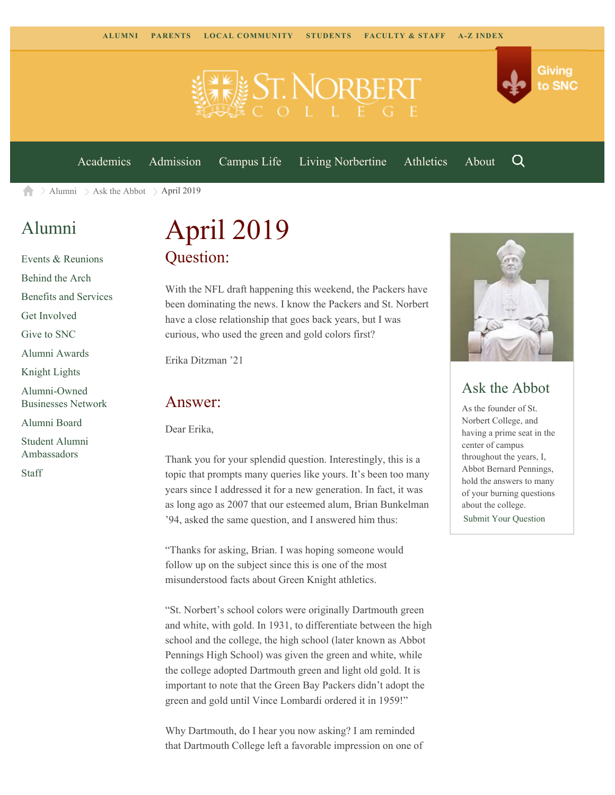



[Academics](https://www.snc.edu/academics) [Admission](https://www.snc.edu/admission) [Campus Life](https://www.snc.edu/campuslife) [Living Norbertine](https://www.snc.edu/livingnorbertine) [Athletics](https://www.snc.edu/athletics) [About](https://www.snc.edu/about)

[Alumni](https://www.snc.edu/alumni/)  $\geq$  [Ask the Abbot](https://www.snc.edu/alumni/abbot/)  $\geq$  April 2019 合

## [Alumni](https://www.snc.edu/alumni/index.html)

[Events & Reunions](https://www.snc.edu/alumni/event/index.html) [Behind the Arch](https://www.snc.edu/alumni/event/behindthearch/) [Benefits and Services](https://www.snc.edu/alumni/benefits.html) [Get Involved](https://www.snc.edu/alumni/getinvolved.html) [Give to SNC](http://giving.snc.edu/) [Alumni Awards](https://www.snc.edu/alumni/awards/index.html) [Knight Lights](https://www.snc.edu/alumni/knightlights/index.html) [Alumni-Owned](https://www.snc.edu/alumni/directory/index.html) [Businesses Network](https://www.snc.edu/alumni/directory/index.html) [Alumni Board](https://www.snc.edu/alumni/alumniboard.html) [Student Alumni](https://www.snc.edu/alumni/saa.html) [Ambassadors](https://www.snc.edu/alumni/saa.html) [Staff](https://www.snc.edu/alumni/contactus.html)

# April 2019 Question:

With the NFL draft happening this weekend, the Packers have been dominating the news. I know the Packers and St. Norbert have a close relationship that goes back years, but I was curious, who used the green and gold colors first?

Erika Ditzman '21

#### Answer:

Dear Erika,

Thank you for your splendid question. Interestingly, this is a topic that prompts many queries like yours. It's been too many years since I addressed it for a new generation. In fact, it was as long ago as 2007 that our esteemed alum, Brian Bunkelman '94, asked the same question, and I answered him thus:

"Thanks for asking, Brian. I was hoping someone would follow up on the subject since this is one of the most misunderstood facts about Green Knight athletics.

"St. Norbert's school colors were originally Dartmouth green and white, with gold. In 1931, to differentiate between the high school and the college, the high school (later known as Abbot Pennings High School) was given the green and white, while the college adopted Dartmouth green and light old gold. It is important to note that the Green Bay Packers didn't adopt the green and gold until Vince Lombardi ordered it in 1959!"

Why Dartmouth, do I hear you now asking? I am reminded that Dartmouth College left a favorable impression on one of



Q

Giving

to SNC

#### Ask the Abbot

As the founder of St. Norbert College, and having a prime seat in the center of campus throughout the years, I, Abbot Bernard Pennings, hold the answers to many of your burning questions about the college. [Submit Your Question](https://www.snc.edu/alumni/abbot/index.html)